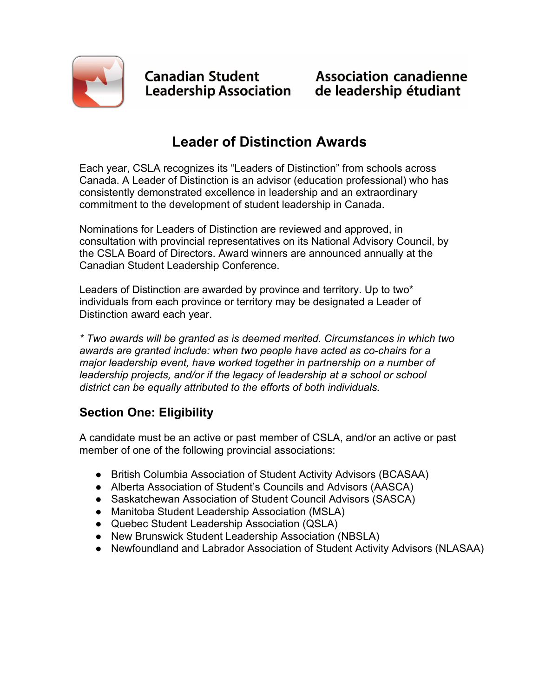

**Canadian Student** Canadian Student<br>Leadership Association

## **Leader of Distinction Awards**

Each year, CSLA recognizes its "Leaders of Distinction" from schools across Canada. A Leader of Distinction is an advisor (education professional) who has consistently demonstrated excellence in leadership and an extraordinary commitment to the development of student leadership in Canada.

Nominations for Leaders of Distinction are reviewed and approved, in consultation with provincial representatives on its National Advisory Council, by the CSLA Board of Directors. Award winners are announced annually at the Canadian Student Leadership Conference.

Leaders of Distinction are awarded by province and territory. Up to two\* individuals from each province or territory may be designated a Leader of Distinction award each year.

*\* Two awards will be granted as is deemed merited. Circumstances in which two awards are granted include: when two people have acted as co-chairs for a major leadership event, have worked together in partnership on a number of leadership projects, and/or if the legacy of leadership at a school or school district can be equally attributed to the efforts of both individuals.* 

## **Section One: Eligibility**

A candidate must be an active or past member of CSLA, and/or an active or past member of one of the following provincial associations:

- British Columbia Association of Student Activity Advisors (BCASAA)
- Alberta Association of Student's Councils and Advisors (AASCA)
- Saskatchewan Association of Student Council Advisors (SASCA)
- Manitoba Student Leadership Association (MSLA)
- Quebec Student Leadership Association (QSLA)
- New Brunswick Student Leadership Association (NBSLA)
- Newfoundland and Labrador Association of Student Activity Advisors (NLASAA)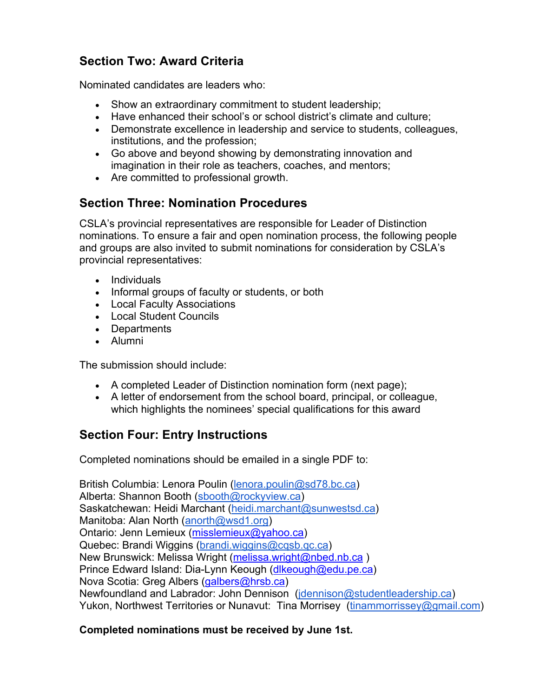### **Section Two: Award Criteria**

Nominated candidates are leaders who:

- Show an extraordinary commitment to student leadership;
- Have enhanced their school's or school district's climate and culture;
- Demonstrate excellence in leadership and service to students, colleagues, institutions, and the profession;
- Go above and beyond showing by demonstrating innovation and imagination in their role as teachers, coaches, and mentors;
- Are committed to professional growth.

### **Section Three: Nomination Procedures**

CSLA's provincial representatives are responsible for Leader of Distinction nominations. To ensure a fair and open nomination process, the following people and groups are also invited to submit nominations for consideration by CSLA's provincial representatives:

- Individuals
- Informal groups of faculty or students, or both
- Local Faculty Associations
- Local Student Councils
- Departments
- Alumni

The submission should include:

- A completed Leader of Distinction nomination form (next page);
- A letter of endorsement from the school board, principal, or colleague, which highlights the nominees' special qualifications for this award

### **Section Four: Entry Instructions**

Completed nominations should be emailed in a single PDF to:

British Columbia: Lenora Poulin (lenora.poulin@sd78.bc.ca) Alberta: Shannon Booth (sbooth@rockyview.ca) Saskatchewan: Heidi Marchant (heidi.marchant@sunwestsd.ca) Manitoba: Alan North (anorth@wsd1.org) Ontario: Jenn Lemieux (misslemieux@yahoo.ca) Quebec: Brandi Wiggins (brandi.wiggins@cqsb.qc.ca) New Brunswick: Melissa Wright (melissa.wright@nbed.nb.ca) Prince Edward Island: Dia-Lynn Keough (dlkeough@edu.pe.ca) Nova Scotia: Greg Albers (galbers@hrsb.ca) Newfoundland and Labrador: John Dennison (jdennison@studentleadership.ca) Yukon, Northwest Territories or Nunavut: Tina Morrisey (tinammorrissey@gmail.com)

#### **Completed nominations must be received by June 1st.**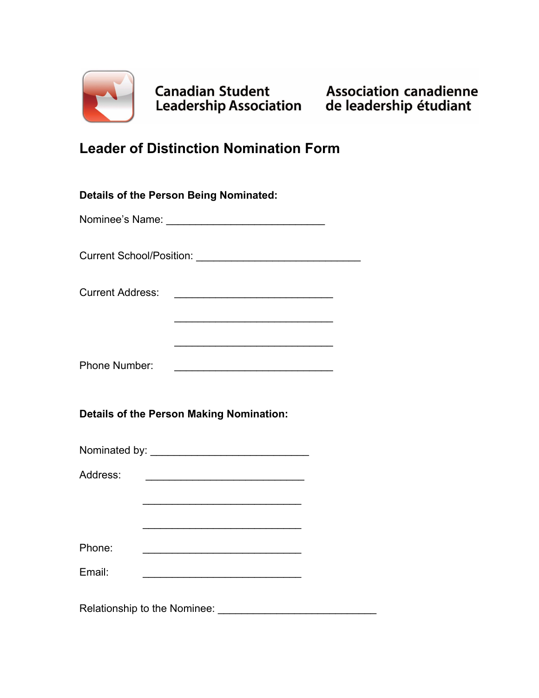

# **Leader of Distinction Nomination Form**

| <b>Details of the Person Being Nominated:</b>   |                                                                                                                       |
|-------------------------------------------------|-----------------------------------------------------------------------------------------------------------------------|
|                                                 |                                                                                                                       |
|                                                 |                                                                                                                       |
| <b>Current Address:</b>                         |                                                                                                                       |
|                                                 |                                                                                                                       |
| Phone Number:                                   |                                                                                                                       |
| <b>Details of the Person Making Nomination:</b> |                                                                                                                       |
|                                                 |                                                                                                                       |
| Address:                                        |                                                                                                                       |
|                                                 | <u> 2000 - Paris Alexandria de Arabel de Arabel de Arabel de Arabel de Arabel de Arabel de Arabel de Arabel de Ar</u> |
|                                                 |                                                                                                                       |
| Phone:                                          | <u> 1989 - Johann Barbara, martxa alemaniar argumento este alemaniar alemaniar alemaniar alemaniar alemaniar al</u>   |
| Email:                                          |                                                                                                                       |
|                                                 |                                                                                                                       |